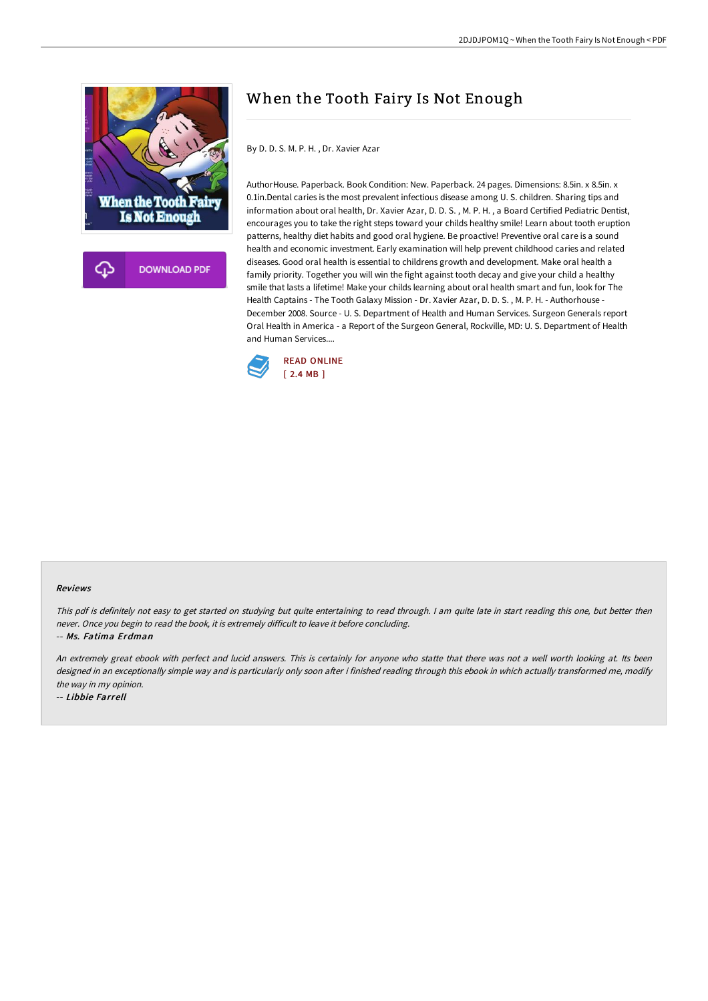

**DOWNLOAD PDF** 

# When the Tooth Fairy Is Not Enough

By D. D. S. M. P. H. , Dr. Xavier Azar

AuthorHouse. Paperback. Book Condition: New. Paperback. 24 pages. Dimensions: 8.5in. x 8.5in. x 0.1in.Dental caries is the most prevalent infectious disease among U. S. children. Sharing tips and information about oral health, Dr. Xavier Azar, D. D. S. , M. P. H. , a Board Certified Pediatric Dentist, encourages you to take the right steps toward your childs healthy smile! Learn about tooth eruption patterns, healthy diet habits and good oral hygiene. Be proactive! Preventive oral care is a sound health and economic investment. Early examination will help prevent childhood caries and related diseases. Good oral health is essential to childrens growth and development. Make oral health a family priority. Together you will win the fight against tooth decay and give your child a healthy smile that lasts a lifetime! Make your childs learning about oral health smart and fun, look for The Health Captains - The Tooth Galaxy Mission - Dr. Xavier Azar, D. D. S. , M. P. H. - Authorhouse - December 2008. Source - U. S. Department of Health and Human Services. Surgeon Generals report Oral Health in America - a Report of the Surgeon General, Rockville, MD: U. S. Department of Health and Human Services....



#### Reviews

This pdf is definitely not easy to get started on studying but quite entertaining to read through. <sup>I</sup> am quite late in start reading this one, but better then never. Once you begin to read the book, it is extremely difficult to leave it before concluding.

-- Ms. Fatima Erdman

An extremely great ebook with perfect and lucid answers. This is certainly for anyone who statte that there was not <sup>a</sup> well worth looking at. Its been designed in an exceptionally simple way and is particularly only soon after i finished reading through this ebook in which actually transformed me, modify the way in my opinion.

-- Libbie Farrell